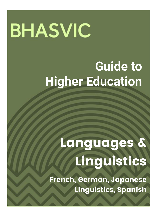# **BHASVIC**

## **Guide to Higher Education**

## Languages & Linguistics

French, German, Japanese Linguistics, Spanish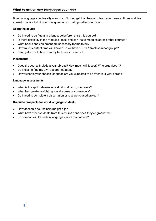Doing a language at university means you'll often get the chance to learn about new cultures and live abroad. Use our list of open day questions to help you discover more…

#### **About the course**

- Do I need to be fluent in a language before I start this course?
- Is there flexibility in the modules I take, and can I take modules across other courses?
- What books and equipment are necessary for me to buy?
- How much contact time will I have? Do we have 1-2-1s / small seminar groups?
- Can I get extra tuition from my lecturers if I need it?

#### **Placements**

- Does the course include a year abroad? How much will it cost? Who organises it?
- Do I have to find my own accommodation?
- How fluent in your chosen language are you expected to be after your year abroad?

#### **Language assessments**

- What is the split between individual work and group work?
- What has greater weighting oral exams or coursework?
- Do I need to complete a dissertation or research-based project?

#### **Graduate prospects for world language students**

- How does this course help me get a job?
- What have other students from this course done once they've graduated?
- Do companies like certain languages more than others?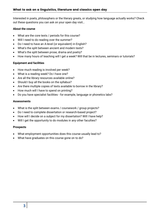Interested in poets, philosophers or the literary greats, or studying how language actually works? Check out these questions you can ask on your open day visit…

#### **About the course**

- What are the core texts / periods for this course?
- Will I need to do reading over the summer?
- Do I need to have an A-level (or equivalent) in English?
- What's the split between ancient and modern texts?
- What's the split between prose, drama and poetry?
- How many hours of teaching will I get a week? Will that be in lectures, seminars or tutorials?

#### **Equipment and facilities**

- How much reading is involved per week?
- What is a reading week? Do I have one?
- Are all the library resources available online?
- Should I buy all the books on the syllabus?
- Are there multiple copies of texts available to borrow in the library?
- How much will I have to spend on printing?
- Do you have specialist facilities for example, language or phonetics labs?

#### **Assessments**

- What is the split between exams / coursework / group projects?
- Do I need to complete dissertation or research-based project?
- How will I decide on a subject for my dissertation? Will I have help?
- Will I get the opportunity to do modules in any other faculties?

#### **Prospects**

- What employment opportunities does this course usually lead to?
- What have graduates on this course gone on to do?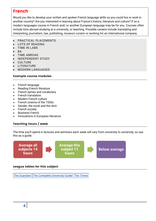## French

Would you like to develop your written and spoken French language skills so you could live or work in another country? Are you interested in learning about France's history, literature and culture? If so a modern languages course in French and/ or another European language may be for you. Courses often include time abroad studying at a university, or teaching. Possible careers include translating and interpreting, journalism, law, publishing, museum curator or working for an international company.

- PRACTICAL PLACEMENTS
- LOTS OF READING
- TIME IN LABS
- BA
- TIME ABROAD
- INDEPENDENT STUDY
- **CULTURE**
- LITERATURE
- MODERN LANGUAGES

## Example course modules

- French language
- Reading French literature
- French syntax and vocabulary
- French translation
- Modern French culture
- French cinema of the 1930s
- Gender, the novel and the récit
- French society
- Business French
- Innovations in European literature

## Teaching hours / week

The time you'll spend in lectures and seminars each week will vary from university to university, so use this as a guide.



## League tables for this subject

The [Guardian](https://www.theguardian.com/education/ng-interactive/2017/may/16/university-league-tables-2018) The Complete [University](http://www.thecompleteuniversityguide.co.uk/league-tables/rankings?s=Architecture) Guide The [Times](https://www.thetimes.co.uk/article/top-by-subject-mgbnm672r)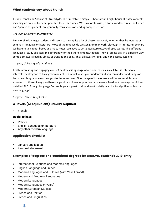I study French and Spanish at Strathclyde. The timetable is simple - I have around eight hours of classes a week, including an hour of French/ Spanish culture each week. We have oral classes, tutorials and lectures. The French and Spanish assignments are generally translations or reading comprehensions.

#### *3rd year, University of Strathclyde*

I'm a foreign language student and I seem to have quite a lot of classes per week, whether they be lectures or seminars, language or literature. Most of the time we do written grammar work, although in literature seminars we have to talk about books and make notes. We have to write literature essays of 1500 words. The different languages I study all assess me differently for the other elements, though. They all assess oral in a different way, some also assess reading ability or translation ability. They all assess writing, and none assess listening.

#### *1st year, University of St Andrews*

Really interesting and engaging course! Really exciting range of optional modules available, it caters to all interests. Really good to have grammar lectures in first year - you suddenly find you can understand things or learn new things and everyone gets to the same level! Good range of type of work - different modules are assessed in different ways, so there's a good mix of essays, practicals and exams. Feedback is always helpful and detailed. FLC (Foreign Language Centre) is great - great to sit and work quietly, watch a foreign film, or learn a new language!

#### *1st year, University of Exeter*

## A-levels (or equivalent) usually required

French

#### **Useful to have**

- **Politics**
- English Language or literature
- Any other modern language

#### Application checklist

- January application
- Personal statement

#### Examples of degrees and combined degrees for BHASVIC student's 2019 entry

- International Relations and Modern Languages
- English Language and French
- Modern Languages and Cultures (with Year Abroad)
- Modern and Medieval Languages
- Modern Languages
- Modern Languages (4 years)
- Modern European Studies
- French and Politics
- French and Linguistics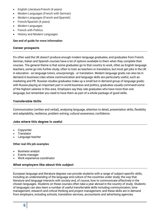- English Literature/French (4 years)
- Modern Languages (French with German)
- Modern Languages (French and Spanish)
- French/Spanish (4 years)
- Modern Languages
- French with Politics
- History and Modern Languages

#### **See end of guide for more information**

#### Career prospects

It's often said the UK doesn't produce enough modern language graduates, and graduates from French, German, Italian and Spanish courses have a lot of options available to them when they complete their courses. The general theme is that some graduates go to that country to work, often as English language teachers, some go into further study, often to train as teachers or translators, but most get jobs in the UK in education - as language tutors, unsurprisingly - or translation. Modern language grads can also be in demand in business roles where communication and language skills are particularly useful, such as marketing and PR. Russian studies graduates make up a small but in demand group of language grads; with Russia playing an important part in world business and politics, graduates usually command some of the highest salaries in this area. Employers say they rate graduates who have more than one language, but remember you need to have them as part of a whole package of good skills.

#### Transferable Skills

Communication (written and verbal), analysing language, attention to detail, presentation skills, flexibility and adaptability, resilience, problem solving, cultural awareness, confidence.

#### Jobs where this degree is useful

- Copywriter
- **Translator**
- Language teacher

#### **Other real-life job examples**

- Business analyst
- Events manager
- Work experience coordinator

#### What employers like about this subject

European language and literature degrees can provide students with a range of subject-specific skills, including an understanding of the language and culture of the countries under study; the way that literature and language interacts with society and, of course, how to communicate effectively in the chosen languages. Students on these courses often take a year abroad in the country of study. Students of languages can also learn a number of useful transferrable skills including communication, time management, research and critical thinking and project management, and these skills are in demand from employers, including schools, translation services, accountants and advertising agencies.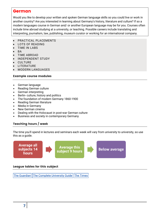## German

Would you like to develop your written and spoken German language skills so you could live or work in another country? Are you interested in learning about Germany's history, literature and culture? If so a modern languages course in German and/ or another European language may be for you. Courses often include time abroad studying at a university, or teaching. Possible careers include translating and interpreting, journalism, law, publishing, museum curator or working for an international company.

- PRACTICAL PLACEMENTS
- LOTS OF READING
- TIME IN LABS
- BA
- TIME ABROAD
- INDEPENDENT STUDY
- **CULTURE**
- LITERATURE
- MODERN LANGUAGES

#### Example course modules

- German language
- Reading German culture
- German interpreting
- Berlin- culture, history and politics
- The foundation of modern Germany 1860-1900
- Reading German literature
- Media in Germany
- New German cinema
- Dealing with the Holocaust in post-war German culture
- Business and society in contemporary Germany

#### Teaching hours / week

The time you'll spend in lectures and seminars each week will vary from university to university, so use this as a guide.



#### League tables for this subject

The [Guardian](https://www.theguardian.com/education/ng-interactive/2017/may/16/university-league-tables-2018) The Complete [University](http://www.thecompleteuniversityguide.co.uk/league-tables/rankings?s=Architecture) Guide The [Times](https://www.thetimes.co.uk/article/top-by-subject-mgbnm672r)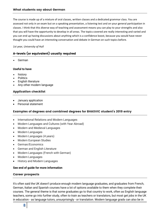The course is made up of a mixture of oral classes, written classes and a dedicated grammar class. You are assessed not only in an exam but on a speaking presentation, a listening test and on your general participation in classes. I think that this diverse way of teaching and assessment means you can play to your strengths and also that you will have the opportunity to develop in all areas. The topics covered are really interesting and varied and you can end up having discussions about anything which is a confidence boost, because you would have never thought you could have an interesting conversation and debate in German on such topics before.

#### *1st year, University of Hull*

## A-levels (or equivalent) usually required

German

#### **Useful to have**

- history
- Politics
- English literature
- Any other modern language

#### Application checklist

- January application
- Personal statement

#### Examples of degrees and combined degrees for BHASVIC student's 2019 entry

- International Relations and Modern Languages
- Modern Languages and Cultures (with Year Abroad)
- Modern and Medieval Languages
- Modern Languages
- Modern Languages (4 years)
- Modern European Studies
- German/Economics
- German and English Literature
- Modern Languages (French with German)
- Modern Languages
- History and Modern Languages

#### **See end of guide for more information**

#### Career prospects

It's often said the UK doesn't produce enough modern language graduates, and graduates from French, German, Italian and Spanish courses have a lot of options available to them when they complete their courses. The general theme is that some graduates go to that country to work, often as English language teachers, some go into further study, often to train as teachers or translators, but most get jobs in the UK in education - as language tutors, unsurprisingly - or translation. Modern language grads can also be in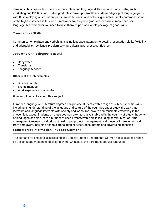demand in business roles where communication and language skills are particularly useful, such as marketing and PR. Russian studies graduates make up a small but in demand group of language grads; with Russia playing an important part in world business and politics, graduates usually command some of the highest salaries in this area. Employers say they rate graduates who have more than one language, but remember you need to have them as part of a whole package of good skills.

#### Transferable Skills

Communication (written and verbal), analysing language, attention to detail, presentation skills, flexibility and adaptability, resilience, problem solving, cultural awareness, confidence.

#### Jobs where this degree is useful

- Copywriter
- **Translator**
- Language teacher

#### **Other real-life job examples**

- Business analyst
- Events manager
- Work experience coordinator

#### **What employers like about this subject**

European language and literature degrees can provide students with a range of subject-specific skills, including an understanding of the language and culture of the countries under study; the way that literature and language interacts with society and, of course, how to communicate effectively in the chosen languages. Students on these courses often take a year abroad in the country of study. Students of languages can also learn a number of useful transferrable skills including communication, time management, research and critical thinking and project management, and these skills are in demand from employers, including schools, translation services, accountants and advertising agencies.

#### Local Market Information - \*Speak German?

The demand for linguists is increasing and Job site 'Indeed' reports that German has exceeded French as the language most needed by employers. Chinese is the third most popular language.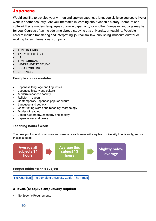## **Japanese**

Would you like to develop your written and spoken Japanese language skills so you could live or work in another country? Are you interested in learning about Japan's history, literature and culture? If so a modern languages course in Japan and/ or another European language may be for you. Courses often include time abroad studying at a university, or teaching. Possible careers include translating and interpreting, journalism, law, publishing, museum curator or working for an international company.

- TIME IN LABS
- EXAM-INTENSIVE
- BA
- TIME ABROAD
- INDEPENDENT STUDY
- ESSAY-WRITING
- JAPANESE

#### Example course modules

- Japanese language and linguistics
- Japanese history and culture
- Modern Japanese society
- Religion in Japan
- Contemporary Japanese popular culture
- Language and society
- Constructing words and meaning: morphology
- Modes of reading
- Japan: Geography, economy and society
- Japan in war and peace

## Teaching hours / week

The time you'll spend in lectures and seminars each week will vary from university to university, so use this as a guide.



## League tables for this subject

The [Guardian](https://www.theguardian.com/education/ng-interactive/2017/may/16/university-league-tables-2018) The Complete [University](http://www.thecompleteuniversityguide.co.uk/league-tables/rankings?s=Architecture) Guide The [Times](https://www.thetimes.co.uk/article/top-by-subject-mgbnm672r)

## A-levels (or equivalent) usually required

No Specific Requirements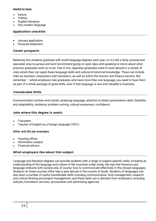#### **Useful to have**

- history
- **Politics**
- English literature
- Any modern language

#### Application checklist

- January application
- Personal statement

#### Career prospects

Relatively few students graduate with world language degrees each year, so it's still a fairly unusual and specialist area to pursue and we'd recommend going on open days and speaking to tutors about what previous graduates went on to do. One in five Japanese graduates went to work aboard in a variety of roles where they can apply these language skills and cultural & historical knowledge. These can include roles as teachers, interpreters and translators, as well as within the tourism and finance sectors. But remember – whilst employers rate graduates who have more than one language, you need to have them as part of a whole package of good skills, even if that language is rare and valuable to business.

#### Transferable Skills

Communication (written and verbal), analysing language, attention to detail, presentation skills, flexibility and adaptability, resilience, problem solving, cultural awareness, confidence.

#### Jobs where this degree is useful

- **Translator**
- Teacher of English as a foreign language (TEFL)

#### **Other real-life job examples**

- Housing officer
- Information analyst
- Financial advisor

#### What employers like about this subject

Language and literature degrees can provide students with a range of subject-specific skills, including an understanding of the language and culture of the countries under study; the way that literature and language interacts with society and, of course, how to communicate effectively in the chosen languages. Students on these courses often take a year abroad in the country of study. Students of languages can also learn a number of useful transferable skills including communication, time management, research and critical thinking and project management, and these skills are in demand from employers, including schools, translation services, accountants and advertising agencies.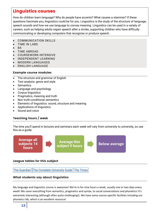## Linguistics courses

How do children learn language? Why do people have accents? What causes a stammer? If these questions fascinate you, linguistics could be for you. Linguistics is the study of the structure of language, speech sounds and how we use language to convey meaning. Linguistics can be used in a variety of careers, such as helping adults regain speech after a stroke, supporting children who have difficulty communicating or developing computers that recognise or produce speech.

- COMMUNICATION SKILLS
- TIME IN LABS
- **BA**
- TIME ABROAD
- COURSEWORK-INTENSIVE
- INDEPENDENT LEARNING
- MODERN LANGUAGES
- ENGLISH LANGUAGE

#### Example course modules

- The structure and grammar of English
- Text analysis: genre and style
- **Semantics**
- Language and psychology
- Corpus linguistics
- Pragmatics, meaning and truth
- Non truth-conditional semantics
- Elements of linguistics: sound, structure and meaning
- Applications of linguistics
- Sound and voice

## Teaching hours / week

The time you'll spend in lectures and seminars each week will vary from university to university, so use this as a guide.



#### League tables for this subject

The [Guardian](https://www.theguardian.com/education/ng-interactive/2017/may/16/university-league-tables-2018) The Complete [University](http://www.thecompleteuniversityguide.co.uk/league-tables/rankings?s=Architecture) Guide The [Times](https://www.thetimes.co.uk/article/top-by-subject-mgbnm672r)

#### What students say about linguistics

My language and linguistics course is awesome! We're in for nine hours a week, usually one or two days every week! We cover everything from semantics, pragmatics and syntax, to social conversations and phonetics! It's extremely interesting (although often quite challenging!). We have some course-specific facilities including our phonetics lab, which is an excellent resource!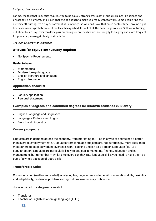#### *2nd year, Ulster University*

For me, the fact that linguistics requires you to be equally strong across a lot of sub-disciplines like science and philosophy is a highlight, and is just challenging enough to make you really want to work. Some people find the diversity off-putting. It's a tiny department at Cambridge, so we don't have that much contact time - around eight hours per week is probably one of the least heavy schedules out of all the Cambridge courses. Still, we're turning out about four essays over ten days, plus preparing for practicals which are roughly fortnightly and more frequent for phonetics, so we get plenty of stimulation.

#### *3rd year, University of Cambridge*

## A-levels (or equivalent) usually required

No Specific Requirements

#### **Useful to have**

- **Mathematics**
- Modern foreign language
- English literature and language
- English language

#### Application checklist

- January application
- Personal statement

#### Examples of degrees and combined degrees for BHASVIC student's 2019 entry

- English Language and Linguistics
- Languages, Cultures and English
- French and Linguistics

#### Career prospects

Linguists are in demand across the economy, from marketing to IT, so this type of degree has a better than average employment rate. Graduates from language subjects are, not surprisingly, more likely than most others to get jobs working overseas, with Teaching English as a Foreign Language (TEFL) a popular option. Linguists are particularly likely to get jobs in marketing, finance, education and in management, but remember – whilst employers say they rate language skills, you need to have them as part of a whole package of good skills.

#### Transferable Skills

Communication (written and verbal), analysing language, attention to detail, presentation skills, flexibility and adaptability, resilience, problem solving, cultural awareness, confidence.

#### Jobs where this degree is useful

- Translator
- Teacher of English as a foreign language (TEFL)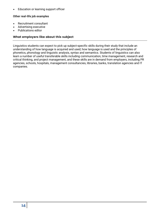**Education or learning support officer** 

#### **Other real-life job examples**

- Recruitment consultant
- Advertising executive
- Publications editor

#### What employers like about this subject

Linguistics students can expect to pick up subject-specific skills during their study that include an understanding of how language is acquired and used; how language is used and the principles of phonetics, phonology and linguistic analysis, syntax and semantics. Students of linguistics can also learn a number of useful transferable skills including communication, time management, research and critical thinking, and project management, and these skills are in demand from employers, including PR agencies, schools, hospitals, management consultancies, libraries, banks, translation agencies and IT companies.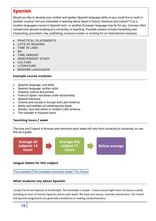## Spanish

Would you like to develop your written and spoken Spanish language skills so you could live or work in another country? Are you interested in learning about Spain's history, literature and culture? If so a modern languages course in Spanish and / or another European language may be for you. Courses often include time abroad studying at a university, or teaching. Possible careers include translating and interpreting, journalism, law, publishing, museum curator or working for an international company.

- PRACTICAL PLACEMENTS
- LOTS OF READING
- TIME IN LABS
- BA
- TIME ABROAD
- INDEPENDENT STUDY
- **CULTURE**
- LITERATURE
- MODERN LANGUAGES

#### Example course modules

- Spanish language: oral skills
- Spanish language: written skills
- Hispanic culture and society
- Franco's Spain: narratives under dictatorship
- Spanish literature
- Cinema and society in Europe and Latin America
- Myths and realities of contemporary Spain
- Gender, race and nation in modern Latin America
- The outsider in Hispanic texts

## Teaching hours / week

The time you'll spend in lectures and seminars each week will vary from university to university, so use this as a guide.





#### What students say about Spanish

I study French and Spanish at Strathclyde. The timetable is simple - I have around eight hours of classes a week, including an hour of French/ Spanish culture each week. We have oral classes, tutorials and lectures. The French and Spanish assignments are generally translations or reading comprehensions.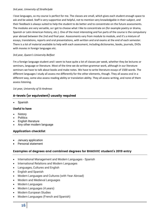#### *3rd year, University of Strathclyde*

I love languages, so my course is perfect for me. The classes are small, which gives each student enough space to ask and be asked. Staff is very supportive and helpful, not to mention very knowledgable in their subject, and their feedback is always suited to help the student to do better and to concentrate on the future assessments. The modules are very versatile, so I get to choose what I like to concentrate on (for example poetry or drama, Spanish or Latin American history, etc.). One of the most interesting and fun parts of the course is the compulsory year abroad between the 2nd and final year. Assessments vary from module to module, and it's a mixture of essays, translations, reports and oral presentations, with written and oral exams at the end of each semester. There is a lot of material available to help with each assessment, including dictionaries, books, journals, DVDs with movies in foreign languages etc.

#### *3rd year, Queen's University Belfast*

I'm a foreign language student and I seem to have quite a lot of classes per week, whether they be lectures or seminars, language or literature. Most of the time we do written grammar work, although in our literature seminars we have to talk about books and make notes. We have to write literature essays of 1500 words. The different languages I study all assess me differently for the other elements, though. They all assess oral in a different way, some also assess reading ability or translation ability. They all assess writing, and none of them assess listening.

#### *1st year, University of St Andrews*

## A-levels (or equivalent) usually required

Spanish

#### **Useful to have**

- history
- **Politics**
- English literature
- Any other modern language

#### Application checklist

- January application
- Personal statement

#### Examples of degrees and combined degrees for BHASVIC student's 2019 entry

- International Management and Modern Languages Spanish
- International Relations and Modern Languages
- Languages, Cultures and English
- English and Spanish
- Modern Languages and Cultures (with Year Abroad)
- Modern and Medieval Languages
- Modern Languages
- Modern Languages (4 years)
- Modern European Studies
- Modern Languages (French and Spanish)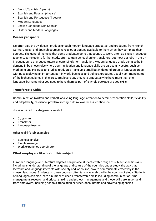- French/Spanish (4 years)
- Spanish and Russian (4 years)
- Spanish and Portuguese (4 years)
- Modern Languages
- English Language with Spanish
- History and Modern Languages

#### Career prospects

It's often said the UK doesn't produce enough modern language graduates, and graduates from French, German, Italian and Spanish courses have a lot of options available to them when they complete their courses. The general theme is that some graduates go to that country to work, often as English language teachers, some go into further study, often to train as teachers or translators, but most get jobs in the UK in education - as language tutors, unsurprisingly - or translation. Modern language grads can also be in demand in business roles where communication and language skills are particularly useful, such as marketing and PR. Russian studies graduates make up a small but in demand group of language grads; with Russia playing an important part in world business and politics, graduates usually command some of the highest salaries in this area. Employers say they rate graduates who have more than one language, but remember you need to have them as part of a whole package of good skills.

#### Transferable Skills

Communication (written and verbal), analysing language, attention to detail, presentation skills, flexibility and adaptability, resilience, problem solving, cultural awareness, confidence.

#### Jobs where this degree is useful

- Copywriter
- **Translator**
- Language teacher

#### **Other real-life job examples**

- Business analyst
- Events manager
- Work experience coordinator

#### What employers like about this subject

European language and literature degrees can provide students with a range of subject-specific skills, including an understanding of the language and culture of the countries under study; the way that literature and language interacts with society and, of course, how to communicate effectively in the chosen languages. Students on these courses often take a year abroad in the country of study. Students of languages can also learn a number of useful transferrable skills including communication, time management, research and critical thinking and project management, and these skills are in demand from employers, including schools, translation services, accountants and advertising agencies.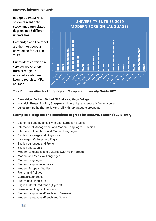**In Sept 2019, 33 MFL students went onto study language related degrees at 18 different universities.** 

Cambridge and Liverpool are the most popular universities for MFL in 2019.

Our students often gain very attractive offers from prestigious universities who are keen to recruit to MFL courses.



## Top 10 Universities for Languages - Complete University Guide 2020

- **Cambridge, Durham, Oxford, St Andrews, Kings College**
- **Warwick, Exeter, Stirling, Glasgow**  all very high student satisfaction scores
- **Lancaster, Bath, Sheffield, Kent**  all with top graduate prospects

#### Examples of degrees and combined degrees for BHASVIC student's 2019 entry

- Economics and Business with East European Studies
- International Management and Modern Languages Spanish
- International Relations and Modern Languages
- English Language and Linguistics
- Languages, Cultures and English
- English Language and French
- English and Spanish
- Modern Languages and Cultures (with Year Abroad)
- Modern and Medieval Languages
- Modern Languages
- Modern Languages (4 years)
- Modern European Studies
- French and Politics
- German/Economics
- French and Linguistics
- English Literature/French (4 years)
- German and English Literature
- Modern Languages (French with German)
- Modern Languages (French and Spanish)